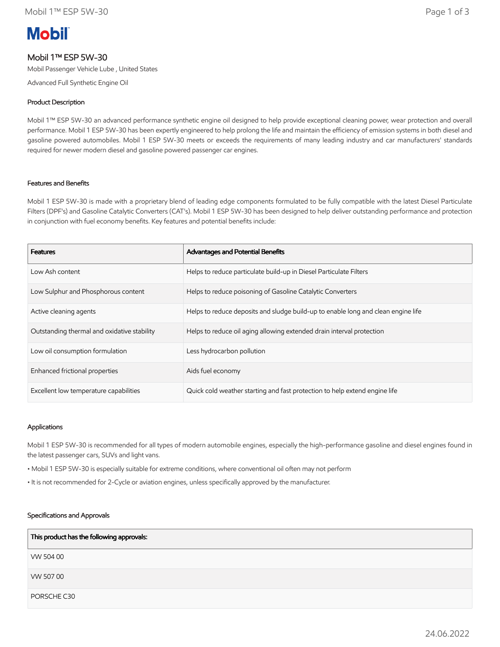# **Mobil**

# Mobil 1™ ESP 5W-30

Mobil Passenger Vehicle Lube , United States

Advanced Full Synthetic Engine Oil

## Product Description

Mobil 1™ ESP 5W-30 an advanced performance synthetic engine oil designed to help provide exceptional cleaning power, wear protection and overall performance. Mobil 1 ESP 5W-30 has been expertly engineered to help prolong the life and maintain the efficiency of emission systems in both diesel and gasoline powered automobiles. Mobil 1 ESP 5W-30 meets or exceeds the requirements of many leading industry and car manufacturers' standards required for newer modern diesel and gasoline powered passenger car engines.

## Features and Benefits

Mobil 1 ESP 5W-30 is made with a proprietary blend of leading edge components formulated to be fully compatible with the latest Diesel Particulate Filters (DPF's) and Gasoline Catalytic Converters (CAT's). Mobil 1 ESP 5W-30 has been designed to help deliver outstanding performance and protection in conjunction with fuel economy benefits. Key features and potential benefits include:

| <b>Features</b>                             | Advantages and Potential Benefits                                                 |
|---------------------------------------------|-----------------------------------------------------------------------------------|
| Low Ash content                             | Helps to reduce particulate build-up in Diesel Particulate Filters                |
| Low Sulphur and Phosphorous content         | Helps to reduce poisoning of Gasoline Catalytic Converters                        |
| Active cleaning agents                      | Helps to reduce deposits and sludge build-up to enable long and clean engine life |
| Outstanding thermal and oxidative stability | Helps to reduce oil aging allowing extended drain interval protection             |
| Low oil consumption formulation             | Less hydrocarbon pollution                                                        |
| Enhanced frictional properties              | Aids fuel economy                                                                 |
| Excellent low temperature capabilities      | Quick cold weather starting and fast protection to help extend engine life        |

#### Applications

Mobil 1 ESP 5W-30 is recommended for all types of modern automobile engines, especially the high-performance gasoline and diesel engines found in the latest passenger cars, SUVs and light vans.

• Mobil 1 ESP 5W-30 is especially suitable for extreme conditions, where conventional oil often may not perform

• It is not recommended for 2-Cycle or aviation engines, unless specifically approved by the manufacturer.

#### Specifications and Approvals

| This product has the following approvals: |
|-------------------------------------------|
| VW 504 00                                 |
| VW 50700                                  |
| PORSCHE C30                               |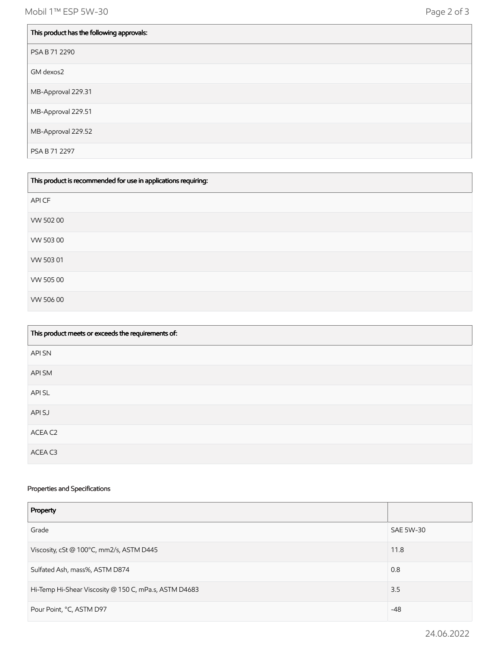Mobil 1™ ESP 5W-30 Page 2 of 3

| This product has the following approvals: |
|-------------------------------------------|
| PSA B 71 2290                             |
| GM dexos2                                 |
| MB-Approval 229.31                        |
| MB-Approval 229.51                        |
| MB-Approval 229.52                        |
| PSA B 71 2297                             |

| This product is recommended for use in applications requiring: |  |
|----------------------------------------------------------------|--|
| API CF                                                         |  |
| VW 502 00                                                      |  |
| VW 50300                                                       |  |
| VW 503 01                                                      |  |
| VW 50500                                                       |  |
| VW 506 00                                                      |  |

| This product meets or exceeds the requirements of: |
|----------------------------------------------------|
| <b>API SN</b>                                      |
| API SM                                             |
| API SL                                             |
| API SJ                                             |
| ACEA C2                                            |
| ACEA C3                                            |

## Properties and Specifications

| Property                                              |                  |
|-------------------------------------------------------|------------------|
| Grade                                                 | <b>SAE 5W-30</b> |
| Viscosity, cSt @ 100°C, mm2/s, ASTM D445              | 11.8             |
| Sulfated Ash, mass%, ASTM D874                        | 0.8              |
| Hi-Temp Hi-Shear Viscosity @ 150 C, mPa.s, ASTM D4683 | 3.5              |
| Pour Point, °C, ASTM D97                              | $-48$            |